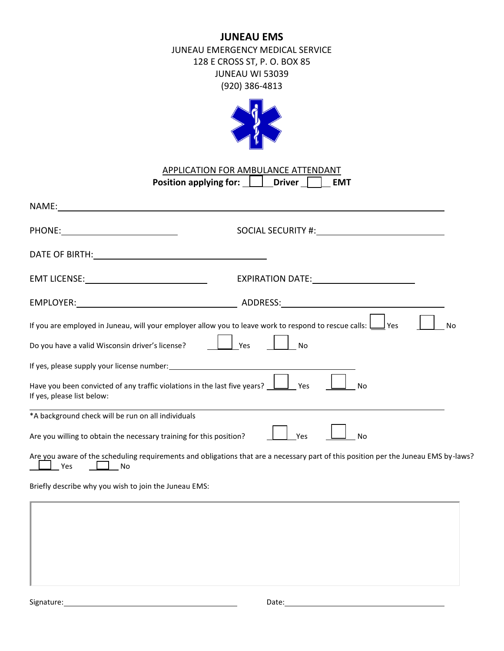# **JUNEAU EMS**

JUNEAU EMERGENCY MEDICAL SERVICE 128 E CROSS ST, P. O. BOX 85 JUNEAU WI 53039 (920) 386-4813



| APPLICATION FOR AMBULANCE ATTENDANT |               |            |  |  |
|-------------------------------------|---------------|------------|--|--|
| Position applying for:              | <b>Driver</b> | <b>FMT</b> |  |  |

| NAME:                                                                                                                                                                                                                          |                                                                                                                                     |
|--------------------------------------------------------------------------------------------------------------------------------------------------------------------------------------------------------------------------------|-------------------------------------------------------------------------------------------------------------------------------------|
| PHONE: ____________________________                                                                                                                                                                                            |                                                                                                                                     |
| DATE OF BIRTH: North and the state of the state of the state of the state of the state of the state of the state of the state of the state of the state of the state of the state of the state of the state of the state of th |                                                                                                                                     |
|                                                                                                                                                                                                                                |                                                                                                                                     |
|                                                                                                                                                                                                                                |                                                                                                                                     |
|                                                                                                                                                                                                                                | If you are employed in Juneau, will your employer allow you to leave work to respond to rescue calls: $\bigsqcup$ Yes<br><b>No</b>  |
| Do you have a valid Wisconsin driver's license?                                                                                                                                                                                | Yes<br><b>No</b>                                                                                                                    |
|                                                                                                                                                                                                                                |                                                                                                                                     |
| Have you been convicted of any traffic violations in the last five years? $\Box$ Yes<br>If yes, please list below:                                                                                                             | <b>No</b>                                                                                                                           |
| *A background check will be run on all individuals                                                                                                                                                                             |                                                                                                                                     |
| Are you willing to obtain the necessary training for this position?                                                                                                                                                            | Yes<br><b>No</b>                                                                                                                    |
| Yes<br>No No                                                                                                                                                                                                                   | Are you aware of the scheduling requirements and obligations that are a necessary part of this position per the Juneau EMS by-laws? |
| Briefly describe why you wish to join the Juneau EMS:                                                                                                                                                                          |                                                                                                                                     |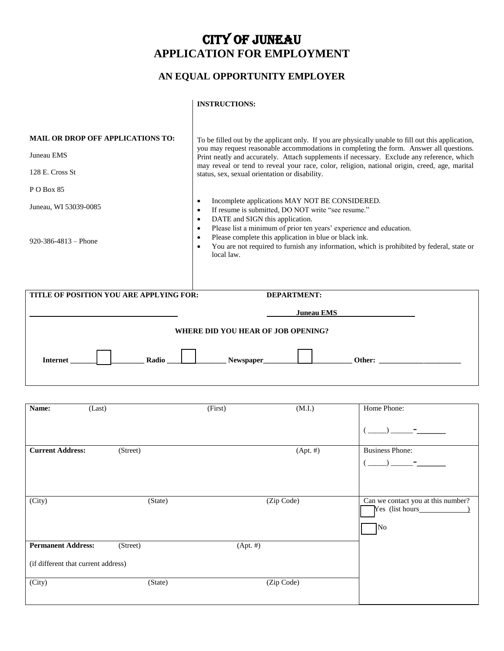# CITY OF JUNEAU **APPLICATION FOR EMPLOYMENT**

# **AN EQUAL OPPORTUNITY EMPLOYER**

## **INSTRUCTIONS:**

| <b>MAIL OR DROP OFF APPLICATIONS TO:</b><br>Juneau EMS<br>128 E. Cross St<br>P O Box 85<br>Juneau, WI 53039-0085 | To be filled out by the applicant only. If you are physically unable to fill out this application,<br>you may request reasonable accommodations in completing the form. Answer all questions.<br>Print neatly and accurately. Attach supplements if necessary. Exclude any reference, which<br>may reveal or tend to reveal your race, color, religion, national origin, creed, age, marital<br>status, sex, sexual orientation or disability.<br>Incomplete applications MAY NOT BE CONSIDERED. |  |
|------------------------------------------------------------------------------------------------------------------|--------------------------------------------------------------------------------------------------------------------------------------------------------------------------------------------------------------------------------------------------------------------------------------------------------------------------------------------------------------------------------------------------------------------------------------------------------------------------------------------------|--|
| $920 - 386 - 4813 - 120$                                                                                         | If resume is submitted, DO NOT write "see resume."<br>$\bullet$<br>DATE and SIGN this application.<br>$\bullet$<br>Please list a minimum of prior ten years' experience and education.<br>$\bullet$<br>Please complete this application in blue or black ink.<br>$\bullet$<br>You are not required to furnish any information, which is prohibited by federal, state or<br>$\bullet$<br>local law.                                                                                               |  |
| TITLE OF POSITION YOU ARE APPLYING FOR:                                                                          | <b>DEPARTMENT:</b>                                                                                                                                                                                                                                                                                                                                                                                                                                                                               |  |
|                                                                                                                  | <b>Juneau EMS</b>                                                                                                                                                                                                                                                                                                                                                                                                                                                                                |  |
|                                                                                                                  | WHERE DID YOU HEAR OF JOB OPENING?                                                                                                                                                                                                                                                                                                                                                                                                                                                               |  |
| Radio<br><b>Internet</b>                                                                                         | Newspaper_<br>Other: and the contract of the contract of the contract of the contract of the contract of the contract of the contract of the contract of the contract of the contract of the contract of the contract of the contract of the                                                                                                                                                                                                                                                     |  |
|                                                                                                                  |                                                                                                                                                                                                                                                                                                                                                                                                                                                                                                  |  |

| Name:                               | (Last)   | (First)   | (M.I.)      | Home Phone:                                           |
|-------------------------------------|----------|-----------|-------------|-------------------------------------------------------|
|                                     |          |           |             |                                                       |
| <b>Current Address:</b>             | (Street) |           | $(Apt. \#)$ | <b>Business Phone:</b>                                |
|                                     |          |           |             |                                                       |
|                                     |          |           |             |                                                       |
|                                     |          |           |             |                                                       |
| (City)                              |          | (State)   | (Zip Code)  | Can we contact you at this number?<br>Yes (list hours |
|                                     |          |           |             | $\sqrt{\text{No}}$                                    |
| <b>Permanent Address:</b>           | (Street) | (Apt.  #) |             |                                                       |
| (if different that current address) |          |           |             |                                                       |
| (City)                              |          | (State)   | (Zip Code)  |                                                       |
|                                     |          |           |             |                                                       |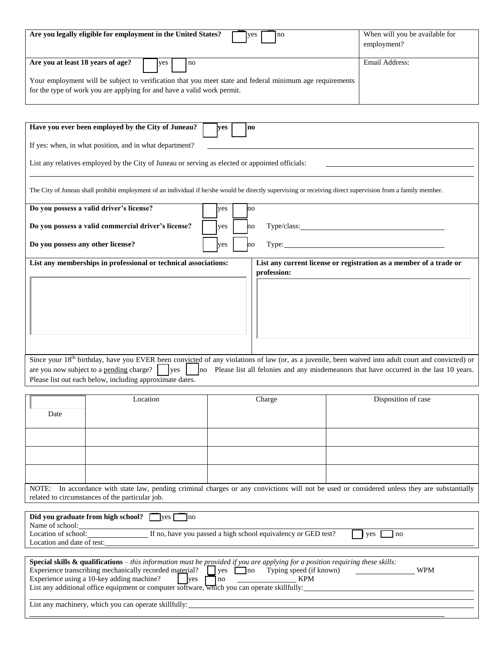| Are you legally eligible for employment in the United States?<br>Ino<br><b>I</b> ves                     | When will you be available for |
|----------------------------------------------------------------------------------------------------------|--------------------------------|
|                                                                                                          | employment?                    |
|                                                                                                          |                                |
| Are you at least 18 years of age?<br>yes<br>no                                                           | Email Address:                 |
| Your employment will be subject to verification that you meet state and federal minimum age requirements |                                |
| for the type of work you are applying for and have a valid work permit.                                  |                                |

| Have you ever been employed by the City of Juneau?                                                                                                                                                                                                                                                                     | ves | $\mathbf{n}\mathbf{o}$                                                                                                                                      |  |  |
|------------------------------------------------------------------------------------------------------------------------------------------------------------------------------------------------------------------------------------------------------------------------------------------------------------------------|-----|-------------------------------------------------------------------------------------------------------------------------------------------------------------|--|--|
| If yes: when, in what position, and in what department?                                                                                                                                                                                                                                                                |     |                                                                                                                                                             |  |  |
| List any relatives employed by the City of Juneau or serving as elected or appointed officials:                                                                                                                                                                                                                        |     |                                                                                                                                                             |  |  |
|                                                                                                                                                                                                                                                                                                                        |     | The City of Juneau shall prohibit employment of an individual if he/she would be directly supervising or receiving direct supervision from a family member. |  |  |
| Do you possess a valid driver's license?                                                                                                                                                                                                                                                                               | yes | Inо                                                                                                                                                         |  |  |
| Do you possess a valid commercial driver's license?                                                                                                                                                                                                                                                                    | yes | Type/class:<br>no                                                                                                                                           |  |  |
| Do you possess any other license?                                                                                                                                                                                                                                                                                      | ves | Type:<br>no                                                                                                                                                 |  |  |
| List any memberships in professional or technical associations:<br>List any current license or registration as a member of a trade or<br>profession:<br>Since your 18 <sup>th</sup> birthday, have you EVER been convicted of any violations of law (or, as a juvenile, been waived into adult court and convicted) or |     |                                                                                                                                                             |  |  |
| are you now subject to a pending charge?<br><b>yes</b><br>Please list out each below, including approximate dates.                                                                                                                                                                                                     | no  | Please list all felonies and any misdemeanors that have occurred in the last 10 years.                                                                      |  |  |

|                                                                                                                                                                                                                                                                                                                                                                                    | Location                                                                                                                                                                                        | Charge | Disposition of case |  |  |
|------------------------------------------------------------------------------------------------------------------------------------------------------------------------------------------------------------------------------------------------------------------------------------------------------------------------------------------------------------------------------------|-------------------------------------------------------------------------------------------------------------------------------------------------------------------------------------------------|--------|---------------------|--|--|
| Date                                                                                                                                                                                                                                                                                                                                                                               |                                                                                                                                                                                                 |        |                     |  |  |
|                                                                                                                                                                                                                                                                                                                                                                                    |                                                                                                                                                                                                 |        |                     |  |  |
|                                                                                                                                                                                                                                                                                                                                                                                    |                                                                                                                                                                                                 |        |                     |  |  |
|                                                                                                                                                                                                                                                                                                                                                                                    |                                                                                                                                                                                                 |        |                     |  |  |
|                                                                                                                                                                                                                                                                                                                                                                                    | NOTE: In accordance with state law, pending criminal charges or any convictions will not be used or considered unless they are substantially<br>related to circumstances of the particular job. |        |                     |  |  |
|                                                                                                                                                                                                                                                                                                                                                                                    |                                                                                                                                                                                                 |        |                     |  |  |
| Did you graduate from high school? west no<br>Name of school:                                                                                                                                                                                                                                                                                                                      |                                                                                                                                                                                                 |        |                     |  |  |
| Location of school: If no, have you passed a high school equivalency or GED test?<br>ves<br>n <sub>O</sub>                                                                                                                                                                                                                                                                         |                                                                                                                                                                                                 |        |                     |  |  |
|                                                                                                                                                                                                                                                                                                                                                                                    |                                                                                                                                                                                                 |        |                     |  |  |
| <b>Special skills &amp; qualifications</b> – this information must be provided if you are applying for a position requiring these skills:<br>Experience transcribing mechanically recorded material? $\Box$ yes $\Box$ no Typing speed (if known)<br><b>WPM</b><br>$\sqrt{10}$ KPM<br>List any additional office equipment or computer software, which you can operate skillfully: |                                                                                                                                                                                                 |        |                     |  |  |
| List any machinery, which you can operate skillfully:                                                                                                                                                                                                                                                                                                                              |                                                                                                                                                                                                 |        |                     |  |  |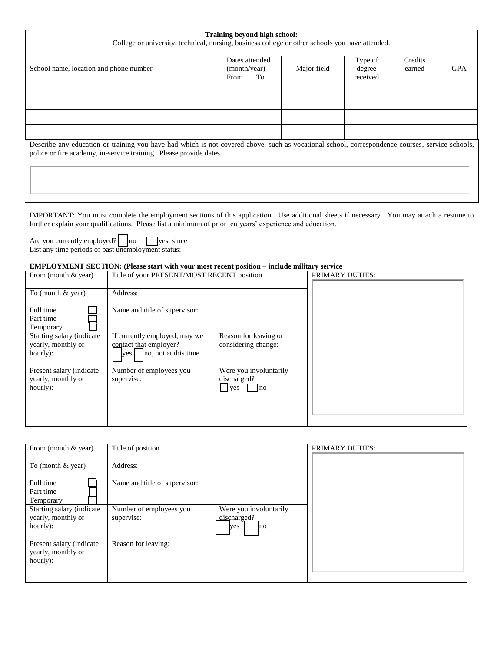| Training beyond high school:<br>College or university, technical, nursing, business college or other schools you have attended.                                                                                       |                                        |    |             |                               |                   |            |
|-----------------------------------------------------------------------------------------------------------------------------------------------------------------------------------------------------------------------|----------------------------------------|----|-------------|-------------------------------|-------------------|------------|
| School name, location and phone number                                                                                                                                                                                | Dates attended<br>(month/year)<br>From | To | Major field | Type of<br>degree<br>received | Credits<br>earned | <b>GPA</b> |
|                                                                                                                                                                                                                       |                                        |    |             |                               |                   |            |
|                                                                                                                                                                                                                       |                                        |    |             |                               |                   |            |
| Describe any education or training you have had which is not covered above, such as vocational school, correspondence courses, service schools,<br>police or fire academy, in-service training. Please provide dates. |                                        |    |             |                               |                   |            |

IMPORTANT: You must complete the employment sections of this application. Use additional sheets if necessary. You may attach a resume to further explain your qualifications. Please list a minimum of prior ten years' experience and education.

Are you currently employed?  $\vert$  no  $\vert$  yes, since List any time periods of past unemployment status:

#### **EMPLOYMENT SECTION: (Please start with your most recent position – include military service**

| From (month $&$ year)     | Title of your PRESENT/MOST RECENT position |                        | <b>PRIMARY DUTIES:</b> |
|---------------------------|--------------------------------------------|------------------------|------------------------|
|                           |                                            |                        |                        |
| To (month $&$ year)       | Address:                                   |                        |                        |
|                           |                                            |                        |                        |
| Full time                 | Name and title of supervisor:              |                        |                        |
| Part time                 |                                            |                        |                        |
| Temporary                 |                                            |                        |                        |
| Starting salary (indicate | If currently employed, may we              | Reason for leaving or  |                        |
| yearly, monthly or        | contact that employer?                     | considering change:    |                        |
| hourly):                  | no, not at this time<br>yes                |                        |                        |
| Present salary (indicate) | Number of employees you                    | Were you involuntarily |                        |
| yearly, monthly or        | supervise:                                 | discharged?            |                        |
| hourly):                  |                                            | no<br><b>ves</b>       |                        |
|                           |                                            |                        |                        |
|                           |                                            |                        |                        |
|                           |                                            |                        |                        |
|                           |                                            |                        |                        |

| From (month & year)                                         | Title of position                                                                           | PRIMARY DUTIES: |
|-------------------------------------------------------------|---------------------------------------------------------------------------------------------|-----------------|
| To (month $& year$ )                                        | Address:                                                                                    |                 |
| Full time<br>Part time<br>Temporary                         | Name and title of supervisor:                                                               |                 |
| Starting salary (indicate<br>yearly, monthly or<br>hourly): | Were you involuntarily<br>Number of employees you<br>discharged?<br>supervise:<br>ves<br>no |                 |
| Present salary (indicate<br>yearly, monthly or<br>hourly):  | Reason for leaving:                                                                         |                 |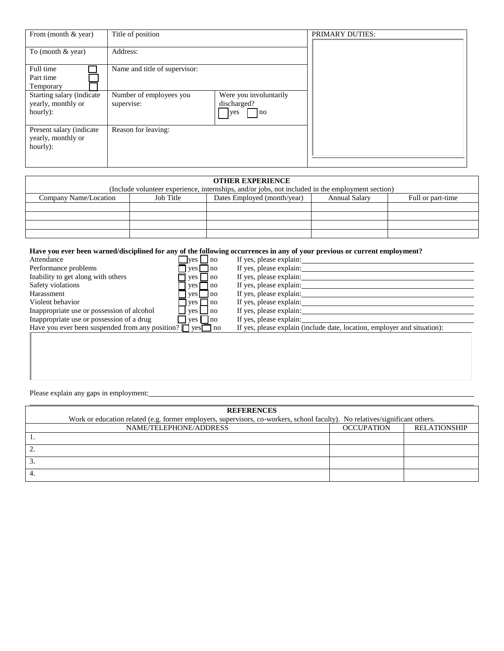| From (month & year)                                         | Title of position                     |                                                    | PRIMARY DUTIES: |
|-------------------------------------------------------------|---------------------------------------|----------------------------------------------------|-----------------|
| To (month $&$ year)                                         | Address:                              |                                                    |                 |
| Full time<br>Part time<br>Temporary                         | Name and title of supervisor:         |                                                    |                 |
| Starting salary (indicate<br>yearly, monthly or<br>hourly): | Number of employees you<br>supervise: | Were you involuntarily<br>discharged?<br>yes<br>no |                 |
| Present salary (indicate<br>yearly, monthly or<br>hourly):  | Reason for leaving:                   |                                                    |                 |

| <b>OTHER EXPERIENCE</b> |           |                                                                                                  |                      |                   |  |
|-------------------------|-----------|--------------------------------------------------------------------------------------------------|----------------------|-------------------|--|
|                         |           | (Include volunteer experience, internships, and/or jobs, not included in the employment section) |                      |                   |  |
| Company Name/Location   | Job Title | Dates Employed (month/year)                                                                      | <b>Annual Salary</b> | Full or part-time |  |
|                         |           |                                                                                                  |                      |                   |  |
|                         |           |                                                                                                  |                      |                   |  |
|                         |           |                                                                                                  |                      |                   |  |
|                         |           |                                                                                                  |                      |                   |  |

#### **Have you ever been warned/disciplined for any of the following occurrences in any of your previous or current employment?**

| Attendance                                                           | $ves \mid \text{no}$  | If yes, please explain:                                                  |
|----------------------------------------------------------------------|-----------------------|--------------------------------------------------------------------------|
| Performance problems                                                 | $yes \Box$ no         | If yes, please explain:                                                  |
| Inability to get along with others                                   | no<br>yes             | If yes, please explain:                                                  |
| Safety violations                                                    | l no<br>ves           | If yes, please explain:                                                  |
| Harassment                                                           | $ves$ $ no$           | If yes, please explain:                                                  |
| Violent behavior                                                     | $ves$ no              | If yes, please explain:                                                  |
| Inappropriate use or possession of alcohol                           | $ves \Box$ no         | If yes, please explain:                                                  |
| Inappropriate use or possession of a drug                            | $\vert$ yes $\Box$ no | If yes, please explain:                                                  |
| Have you ever been suspended from any position? $\Box$ yes $\Box$ no |                       | If yes, please explain (include date, location, employer and situation): |
|                                                                      |                       |                                                                          |

Please explain any gaps in employment:

| <b>REFERENCES</b>                                                                                                            |                        |                   |                     |  |
|------------------------------------------------------------------------------------------------------------------------------|------------------------|-------------------|---------------------|--|
| Work or education related (e.g. former employers, supervisors, co-workers, school faculty). No relatives/significant others. |                        |                   |                     |  |
|                                                                                                                              | NAME/TELEPHONE/ADDRESS | <b>OCCUPATION</b> | <b>RELATIONSHIP</b> |  |
|                                                                                                                              |                        |                   |                     |  |
|                                                                                                                              |                        |                   |                     |  |
|                                                                                                                              |                        |                   |                     |  |
|                                                                                                                              |                        |                   |                     |  |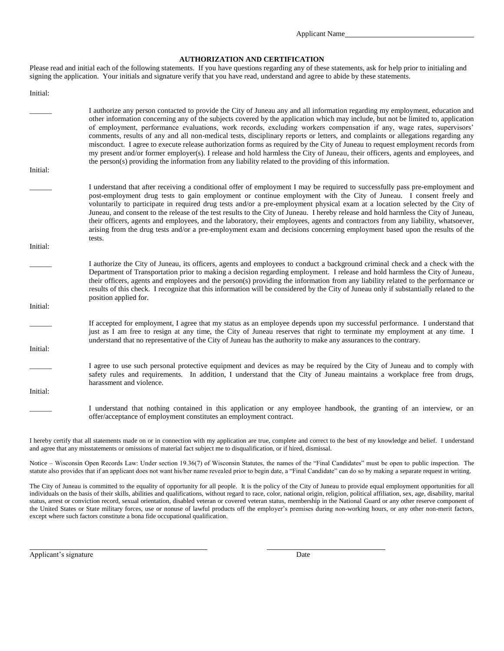Applicant Name

#### **AUTHORIZATION AND CERTIFICATION**

Please read and initial each of the following statements. If you have questions regarding any of these statements, ask for help prior to initialing and signing the application. Your initials and signature verify that you have read, understand and agree to abide by these statements.

| Initial: |                                                                                                                                                                                                                                                                                                                                                                                                                                                                                                                                                                                                                                                                                                                                                                                                                                                                                                                   |
|----------|-------------------------------------------------------------------------------------------------------------------------------------------------------------------------------------------------------------------------------------------------------------------------------------------------------------------------------------------------------------------------------------------------------------------------------------------------------------------------------------------------------------------------------------------------------------------------------------------------------------------------------------------------------------------------------------------------------------------------------------------------------------------------------------------------------------------------------------------------------------------------------------------------------------------|
|          | I authorize any person contacted to provide the City of Juneau any and all information regarding my employment, education and<br>other information concerning any of the subjects covered by the application which may include, but not be limited to, application<br>of employment, performance evaluations, work records, excluding workers compensation if any, wage rates, supervisors'<br>comments, results of any and all non-medical tests, disciplinary reports or letters, and complaints or allegations regarding any<br>misconduct. I agree to execute release authorization forms as required by the City of Juneau to request employment records from<br>my present and/or former employer(s). I release and hold harmless the City of Juneau, their officers, agents and employees, and<br>the person(s) providing the information from any liability related to the providing of this information. |
| Initial: |                                                                                                                                                                                                                                                                                                                                                                                                                                                                                                                                                                                                                                                                                                                                                                                                                                                                                                                   |
|          | I understand that after receiving a conditional offer of employment I may be required to successfully pass pre-employment and<br>post-employment drug tests to gain employment or continue employment with the City of Juneau. I consent freely and<br>voluntarily to participate in required drug tests and/or a pre-employment physical exam at a location selected by the City of<br>Juneau, and consent to the release of the test results to the City of Juneau. I hereby release and hold harmless the City of Juneau,<br>their officers, agents and employees, and the laboratory, their employees, agents and contractors from any liability, whatsoever,<br>arising from the drug tests and/or a pre-employment exam and decisions concerning employment based upon the results of the<br>tests.                                                                                                         |
| Initial: |                                                                                                                                                                                                                                                                                                                                                                                                                                                                                                                                                                                                                                                                                                                                                                                                                                                                                                                   |
|          | I authorize the City of Juneau, its officers, agents and employees to conduct a background criminal check and a check with the<br>Department of Transportation prior to making a decision regarding employment. I release and hold harmless the City of Juneau,<br>their officers, agents and employees and the person(s) providing the information from any liability related to the performance or<br>results of this check. I recognize that this information will be considered by the City of Juneau only if substantially related to the<br>position applied for.                                                                                                                                                                                                                                                                                                                                           |
| Initial: |                                                                                                                                                                                                                                                                                                                                                                                                                                                                                                                                                                                                                                                                                                                                                                                                                                                                                                                   |
|          | If accepted for employment, I agree that my status as an employee depends upon my successful performance. I understand that<br>just as I am free to resign at any time, the City of Juneau reserves that right to terminate my employment at any time. I<br>understand that no representative of the City of Juneau has the authority to make any assurances to the contrary.                                                                                                                                                                                                                                                                                                                                                                                                                                                                                                                                     |
| Initial: |                                                                                                                                                                                                                                                                                                                                                                                                                                                                                                                                                                                                                                                                                                                                                                                                                                                                                                                   |
|          | I agree to use such personal protective equipment and devices as may be required by the City of Juneau and to comply with<br>safety rules and requirements. In addition, I understand that the City of Juneau maintains a workplace free from drugs,<br>harassment and violence.                                                                                                                                                                                                                                                                                                                                                                                                                                                                                                                                                                                                                                  |
| Initial: |                                                                                                                                                                                                                                                                                                                                                                                                                                                                                                                                                                                                                                                                                                                                                                                                                                                                                                                   |
|          | I understand that nothing contained in this application or any employee handbook, the granting of an interview, or an<br>offer/acceptance of employment constitutes an employment contract.                                                                                                                                                                                                                                                                                                                                                                                                                                                                                                                                                                                                                                                                                                                       |

I hereby certify that all statements made on or in connection with my application are true, complete and correct to the best of my knowledge and belief. I understand and agree that any misstatements or omissions of material fact subject me to disqualification, or if hired, dismissal.

Notice – Wisconsin Open Records Law: Under section 19.36(7) of Wisconsin Statutes, the names of the "Final Candidates" must be open to public inspection. The statute also provides that if an applicant does not want his/her name revealed prior to begin date, a "Final Candidate" can do so by making a separate request in writing.

The City of Juneau is committed to the equality of opportunity for all people. It is the policy of the City of Juneau to provide equal employment opportunities for all individuals on the basis of their skills, abilities and qualifications, without regard to race, color, national origin, religion, political affiliation, sex, age, disability, marital status, arrest or conviction record, sexual orientation, disabled veteran or covered veteran status, membership in the National Guard or any other reserve component of the United States or State military forces, use or nonuse of lawful products off the employer's premises during non-working hours, or any other non-merit factors, except where such factors constitute a bona fide occupational qualification.

Applicant's signature Date

 $\overline{a}$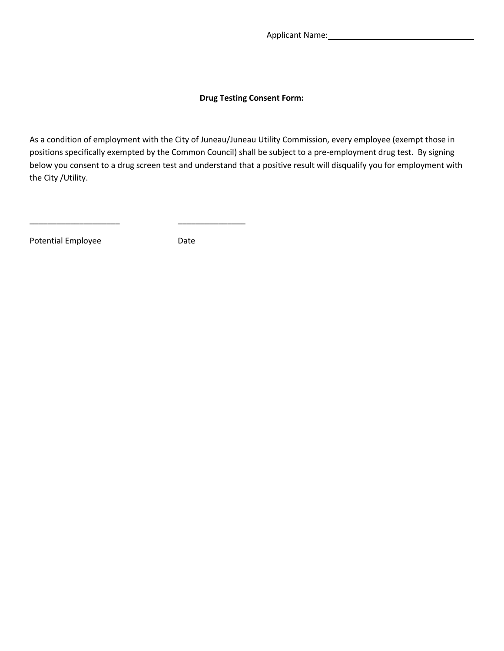Applicant Name: Manual Applicant Name: Manual Applicant Name: Manual Applicant Manual Applicant Manual Applicant Manual Applicant Manual Applicant Manual Applicant Manual Applicant Manual Applicant Manual Applicant Manual

### **Drug Testing Consent Form:**

As a condition of employment with the City of Juneau/Juneau Utility Commission, every employee (exempt those in positions specifically exempted by the Common Council) shall be subject to a pre-employment drug test. By signing below you consent to a drug screen test and understand that a positive result will disqualify you for employment with the City /Utility.

Potential Employee Date

\_\_\_\_\_\_\_\_\_\_\_\_\_\_\_\_\_\_\_\_ \_\_\_\_\_\_\_\_\_\_\_\_\_\_\_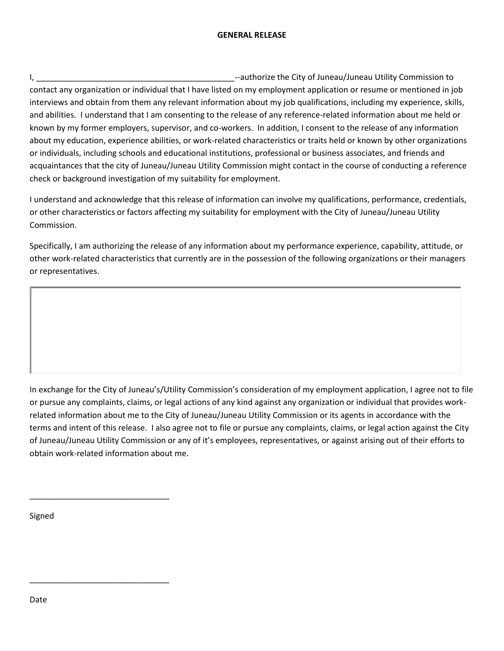### **GENERAL RELEASE**

I, \_\_\_\_\_\_\_\_\_\_\_\_\_\_\_\_\_\_\_\_\_\_\_\_\_\_\_\_\_\_\_\_\_\_\_\_\_\_\_\_\_\_\_\_--authorize the City of Juneau/Juneau Utility Commission to contact any organization or individual that I have listed on my employment application or resume or mentioned in job interviews and obtain from them any relevant information about my job qualifications, including my experience, skills, and abilities. I understand that I am consenting to the release of any reference-related information about me held or known by my former employers, supervisor, and co-workers. In addition, I consent to the release of any information about my education, experience abilities, or work-related characteristics or traits held or known by other organizations or individuals, including schools and educational institutions, professional or business associates, and friends and acquaintances that the city of Juneau/Juneau Utility Commission might contact in the course of conducting a reference check or background investigation of my suitability for employment.

I understand and acknowledge that this release of information can involve my qualifications, performance, credentials, or other characteristics or factors affecting my suitability for employment with the City of Juneau/Juneau Utility Commission.

Specifically, I am authorizing the release of any information about my performance experience, capability, attitude, or other work-related characteristics that currently are in the possession of the following organizations or their managers or representatives.

In exchange for the City of Juneau's/Utility Commission's consideration of my employment application, I agree not to file or pursue any complaints, claims, or legal actions of any kind against any organization or individual that provides workrelated information about me to the City of Juneau/Juneau Utility Commission or its agents in accordance with the terms and intent of this release. I also agree not to file or pursue any complaints, claims, or legal action against the City of Juneau/Juneau Utility Commission or any of it's employees, representatives, or against arising out of their efforts to obtain work-related information about me.

Signed

\_\_\_\_\_\_\_\_\_\_\_\_\_\_\_\_\_\_\_\_\_\_\_\_\_\_\_\_\_\_\_

\_\_\_\_\_\_\_\_\_\_\_\_\_\_\_\_\_\_\_\_\_\_\_\_\_\_\_\_\_\_\_